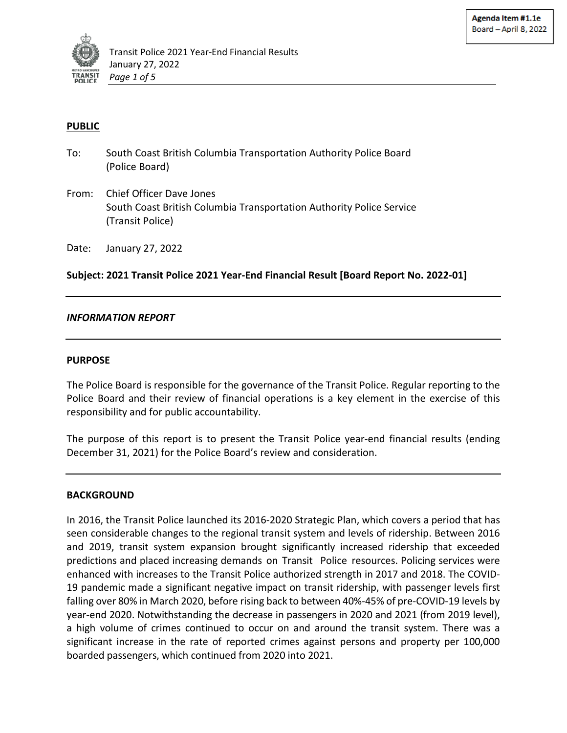

## **PUBLIC**

- To: South Coast British Columbia Transportation Authority Police Board (Police Board)
- From: Chief Officer Dave Jones South Coast British Columbia Transportation Authority Police Service (Transit Police)

Date: January 27, 2022

**Subject: 2021 Transit Police 2021 Year-End Financial Result [Board Report No. 2022-01]** 

#### *INFORMATION REPORT*

#### **PURPOSE**

The Police Board is responsible for the governance of the Transit Police. Regular reporting to the Police Board and their review of financial operations is a key element in the exercise of this responsibility and for public accountability.

The purpose of this report is to present the Transit Police year-end financial results (ending December 31, 2021) for the Police Board's review and consideration.

#### **BACKGROUND**

In 2016, the Transit Police launched its 2016-2020 Strategic Plan, which covers a period that has seen considerable changes to the regional transit system and levels of ridership. Between 2016 and 2019, transit system expansion brought significantly increased ridership that exceeded predictions and placed increasing demands on Transit Police resources. Policing services were enhanced with increases to the Transit Police authorized strength in 2017 and 2018. The COVID-19 pandemic made a significant negative impact on transit ridership, with passenger levels first falling over 80% in March 2020, before rising back to between 40%-45% of pre-COVID-19 levels by year-end 2020. Notwithstanding the decrease in passengers in 2020 and 2021 (from 2019 level), a high volume of crimes continued to occur on and around the transit system. There was a significant increase in the rate of reported crimes against persons and property per 100,000 boarded passengers, which continued from 2020 into 2021.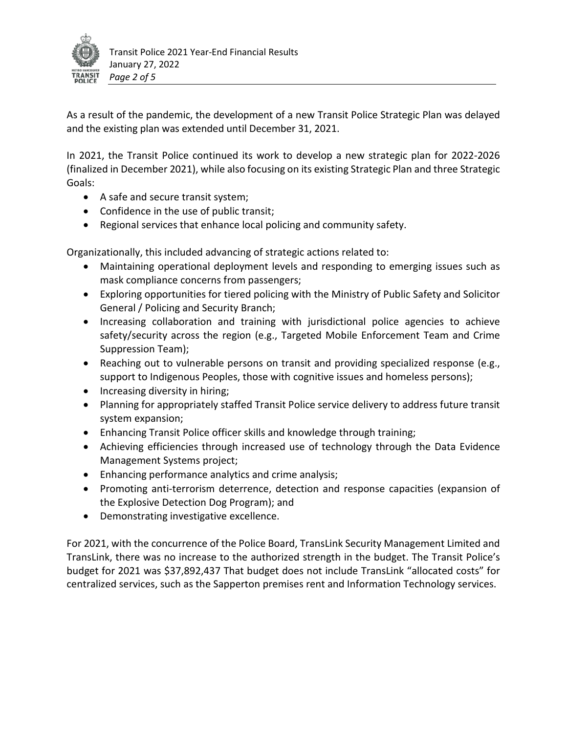

As a result of the pandemic, the development of a new Transit Police Strategic Plan was delayed and the existing plan was extended until December 31, 2021.

In 2021, the Transit Police continued its work to develop a new strategic plan for 2022-2026 (finalized in December 2021), while also focusing on its existing Strategic Plan and three Strategic Goals:

- A safe and secure transit system;
- Confidence in the use of public transit;
- Regional services that enhance local policing and community safety.

Organizationally, this included advancing of strategic actions related to:

- Maintaining operational deployment levels and responding to emerging issues such as mask compliance concerns from passengers;
- Exploring opportunities for tiered policing with the Ministry of Public Safety and Solicitor General / Policing and Security Branch;
- Increasing collaboration and training with jurisdictional police agencies to achieve safety/security across the region (e.g., Targeted Mobile Enforcement Team and Crime Suppression Team);
- Reaching out to vulnerable persons on transit and providing specialized response (e.g., support to Indigenous Peoples, those with cognitive issues and homeless persons);
- Increasing diversity in hiring;
- Planning for appropriately staffed Transit Police service delivery to address future transit system expansion;
- Enhancing Transit Police officer skills and knowledge through training;
- Achieving efficiencies through increased use of technology through the Data Evidence Management Systems project;
- Enhancing performance analytics and crime analysis;
- Promoting anti-terrorism deterrence, detection and response capacities (expansion of the Explosive Detection Dog Program); and
- Demonstrating investigative excellence.

For 2021, with the concurrence of the Police Board, TransLink Security Management Limited and TransLink, there was no increase to the authorized strength in the budget. The Transit Police's budget for 2021 was \$37,892,437 That budget does not include TransLink "allocated costs" for centralized services, such as the Sapperton premises rent and Information Technology services.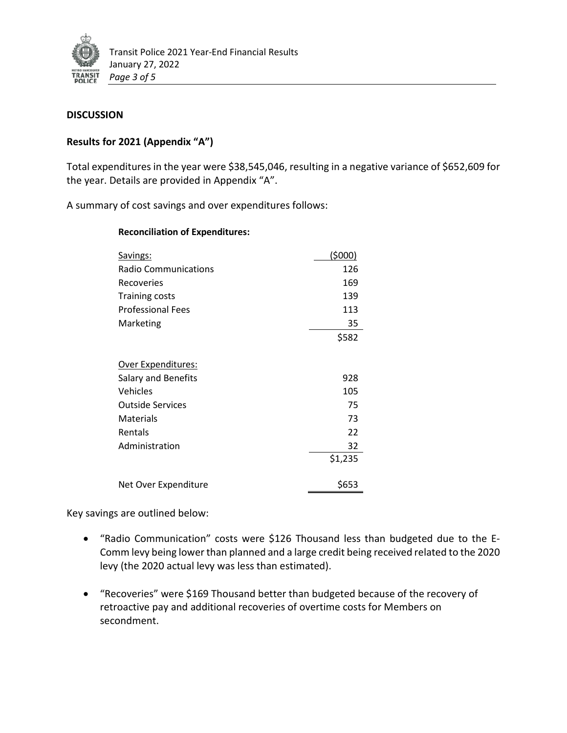

#### **DISCUSSION**

## **Results for 2021 (Appendix "A")**

Total expenditures in the year were \$38,545,046, resulting in a negative variance of \$652,609 for the year. Details are provided in Appendix "A".

A summary of cost savings and over expenditures follows:

| Savings:                    | (\$000) |
|-----------------------------|---------|
| <b>Radio Communications</b> | 126     |
| Recoveries                  | 169     |
| <b>Training costs</b>       | 139     |
| <b>Professional Fees</b>    | 113     |
| Marketing                   | 35      |
|                             | \$582   |
|                             |         |
| <u> Over Expenditures:</u>  |         |
| Salary and Benefits         | 928     |
| Vehicles                    | 105     |
| <b>Outside Services</b>     | 75      |
| Materials                   | 73      |
| Rentals                     | 22      |
| Administration              | 32      |
|                             | \$1,235 |
| Net Over Expenditure        | \$653   |

**Reconciliation of Expenditures:**

Key savings are outlined below:

- "Radio Communication" costs were \$126 Thousand less than budgeted due to the E-Comm levy being lower than planned and a large credit being received related to the 2020 levy (the 2020 actual levy was less than estimated).
- "Recoveries" were \$169 Thousand better than budgeted because of the recovery of retroactive pay and additional recoveries of overtime costs for Members on secondment.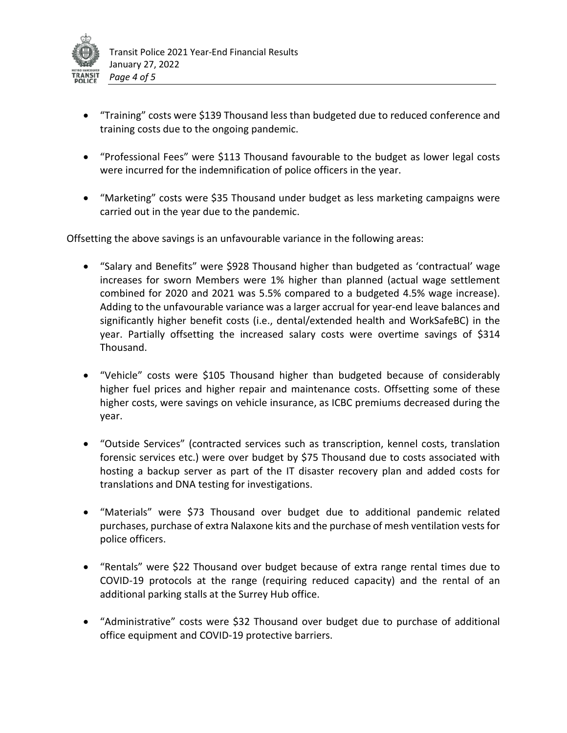

- "Training" costs were \$139 Thousand less than budgeted due to reduced conference and training costs due to the ongoing pandemic.
- "Professional Fees" were \$113 Thousand favourable to the budget as lower legal costs were incurred for the indemnification of police officers in the year.
- "Marketing" costs were \$35 Thousand under budget as less marketing campaigns were carried out in the year due to the pandemic.

Offsetting the above savings is an unfavourable variance in the following areas:

- "Salary and Benefits" were \$928 Thousand higher than budgeted as 'contractual' wage increases for sworn Members were 1% higher than planned (actual wage settlement combined for 2020 and 2021 was 5.5% compared to a budgeted 4.5% wage increase). Adding to the unfavourable variance was a larger accrual for year-end leave balances and significantly higher benefit costs (i.e., dental/extended health and WorkSafeBC) in the year. Partially offsetting the increased salary costs were overtime savings of \$314 Thousand.
- "Vehicle" costs were \$105 Thousand higher than budgeted because of considerably higher fuel prices and higher repair and maintenance costs. Offsetting some of these higher costs, were savings on vehicle insurance, as ICBC premiums decreased during the year.
- "Outside Services" (contracted services such as transcription, kennel costs, translation forensic services etc.) were over budget by \$75 Thousand due to costs associated with hosting a backup server as part of the IT disaster recovery plan and added costs for translations and DNA testing for investigations.
- "Materials" were \$73 Thousand over budget due to additional pandemic related purchases, purchase of extra Nalaxone kits and the purchase of mesh ventilation vests for police officers.
- "Rentals" were \$22 Thousand over budget because of extra range rental times due to COVID-19 protocols at the range (requiring reduced capacity) and the rental of an additional parking stalls at the Surrey Hub office.
- "Administrative" costs were \$32 Thousand over budget due to purchase of additional office equipment and COVID-19 protective barriers.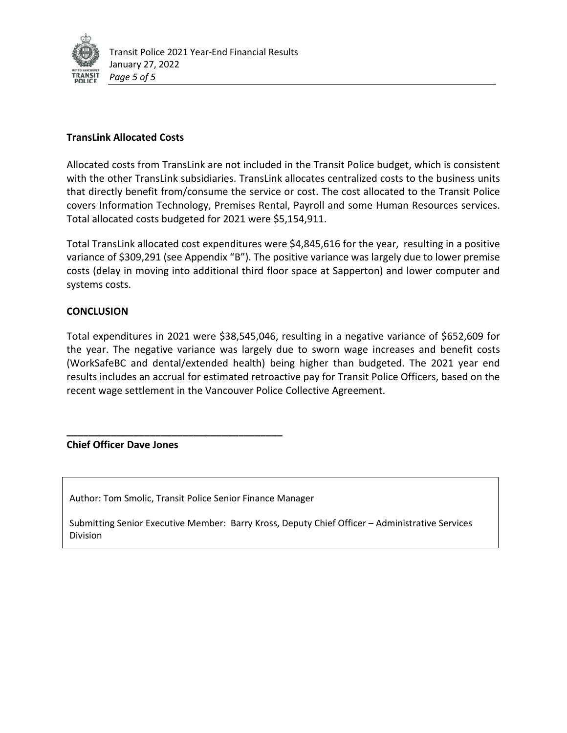

#### **TransLink Allocated Costs**

Allocated costs from TransLink are not included in the Transit Police budget, which is consistent with the other TransLink subsidiaries. TransLink allocates centralized costs to the business units that directly benefit from/consume the service or cost. The cost allocated to the Transit Police covers Information Technology, Premises Rental, Payroll and some Human Resources services. Total allocated costs budgeted for 2021 were \$5,154,911.

Total TransLink allocated cost expenditures were \$4,845,616 for the year, resulting in a positive variance of \$309,291 (see Appendix "B"). The positive variance was largely due to lower premise costs (delay in moving into additional third floor space at Sapperton) and lower computer and systems costs.

## **CONCLUSION**

Total expenditures in 2021 were \$38,545,046, resulting in a negative variance of \$652,609 for the year. The negative variance was largely due to sworn wage increases and benefit costs (WorkSafeBC and dental/extended health) being higher than budgeted. The 2021 year end results includes an accrual for estimated retroactive pay for Transit Police Officers, based on the recent wage settlement in the Vancouver Police Collective Agreement.

#### **Chief Officer Dave Jones**

Author: Tom Smolic, Transit Police Senior Finance Manager

**\_\_\_\_\_\_\_\_\_\_\_\_\_\_\_\_\_\_\_\_\_\_\_\_\_\_\_\_\_\_\_\_\_\_\_\_\_\_\_**

Submitting Senior Executive Member: Barry Kross, Deputy Chief Officer – Administrative Services Division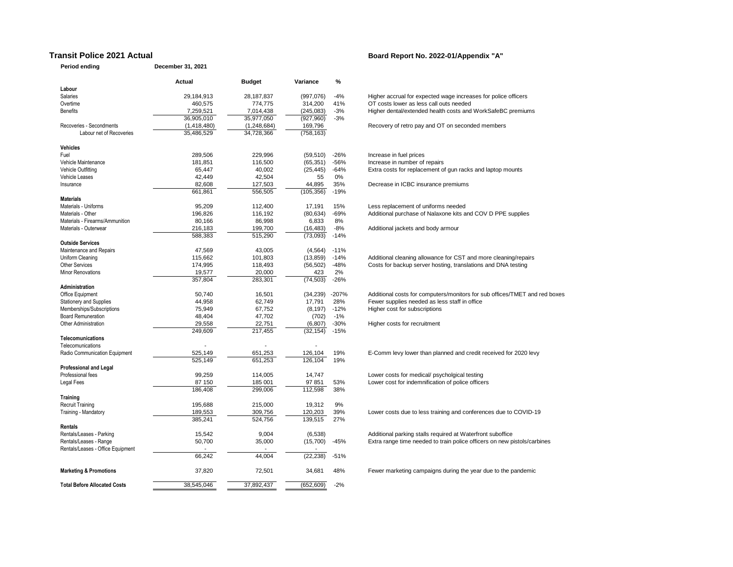#### **Transit Police 2021 Actual <b>Board Report No. 2022-01/Appendix** "A"

**Period ending December 31, 2021**

|                                     | Actual      | <b>Budget</b>     | Variance              | %          |                                                                            |
|-------------------------------------|-------------|-------------------|-----------------------|------------|----------------------------------------------------------------------------|
| Labour                              |             |                   |                       |            |                                                                            |
| Salaries                            | 29,184,913  | 28,187,837        | (997,076)             | $-4%$      | Higher accrual for expected wage increases for police officers             |
| Overtime                            | 460,575     | 774,775           | 314,200               | 41%        | OT costs lower as less call outs needed                                    |
| <b>Benefits</b>                     | 7,259,521   | 7,014,438         | (245, 083)            | $-3%$      | Higher dental/extended health costs and WorkSafeBC premiums                |
|                                     | 36,905,010  | 35,977,050        | (927, 960)            | $-3%$      |                                                                            |
| Recoveries - Secondments            | (1,418,480) | (1, 248, 684)     | 169,796               |            | Recovery of retro pay and OT on seconded members                           |
| Labour net of Recoveries            | 35,486,529  | 34,728,366        | (758, 163)            |            |                                                                            |
|                                     |             |                   |                       |            |                                                                            |
| <b>Vehicles</b>                     |             |                   |                       |            |                                                                            |
| Fuel                                | 289,506     | 229,996           | (59, 510)             | $-26%$     | Increase in fuel prices                                                    |
| Vehicle Maintenance                 | 181,851     | 116,500           | (65, 351)             | $-56%$     | Increase in number of repairs                                              |
| Vehicle Outfitting                  | 65.447      | 40.002            | (25, 445)             | $-64%$     | Extra costs for replacement of gun racks and laptop mounts                 |
| Vehicle Leases                      | 42,449      | 42,504            | 55                    | 0%         |                                                                            |
| Insurance                           | 82,608      | 127,503           | 44,895                | 35%        | Decrease in ICBC insurance premiums                                        |
|                                     | 661,861     | 556,505           | (105, 356)            | $-19%$     |                                                                            |
| <b>Materials</b>                    |             |                   |                       |            |                                                                            |
| Materials - Uniforms                | 95,209      | 112,400           | 17,191                | 15%        | Less replacement of uniforms needed                                        |
| Materials - Other                   | 196.826     | 116.192           | (80, 634)             | -69%       | Additional purchase of Nalaxone kits and COV D PPE supplies                |
| Materials - Firearms/Ammunition     | 80,166      | 86,998            | 6,833                 | 8%         |                                                                            |
| Materials - Outerwear               | 216,183     | 199,700           | (16, 483)             | $-8%$      | Additional jackets and body armour                                         |
|                                     | 588.383     | 515,290           | (73,093)              | $-14%$     |                                                                            |
| <b>Outside Services</b>             |             |                   |                       |            |                                                                            |
| Maintenance and Repairs             | 47,569      | 43,005            | (4, 564)              | $-11%$     |                                                                            |
| Uniform Cleaning                    | 115,662     | 101,803           | (13, 859)             | $-14%$     | Additional cleaning allowance for CST and more cleaning/repairs            |
| <b>Other Services</b>               | 174,995     | 118,493           | (56, 502)             | $-48%$     | Costs for backup server hosting, translations and DNA testing              |
| <b>Minor Renovations</b>            | 19,577      | 20,000            | 423                   | 2%         |                                                                            |
|                                     | 357.804     | 283.301           | (74, 503)             | $-26%$     |                                                                            |
| <b>Administration</b>               |             |                   |                       |            |                                                                            |
| Office Equipment                    | 50,740      | 16,501            | (34, 239)             | $-207%$    | Additional costs for computers/monitors for sub offices/TMET and red boxes |
| <b>Stationery and Supplies</b>      | 44,958      | 62,749            | 17,791                | 28%        | Fewer supplies needed as less staff in office                              |
| Memberships/Subscriptions           | 75,949      | 67,752            | (8, 197)              | $-12%$     | Higher cost for subscriptions                                              |
| <b>Board Remuneration</b>           | 48,404      | 47,702            | (702)                 | $-1%$      |                                                                            |
| <b>Other Administration</b>         | 29.558      |                   |                       | $-30%$     | Higher costs for recruitment                                               |
|                                     | 249,609     | 22,751<br>217,455 | (6, 807)<br>(32, 154) | $-15%$     |                                                                            |
| Telecomunications                   |             |                   |                       |            |                                                                            |
| Telecomunications                   |             |                   |                       |            |                                                                            |
|                                     | 525,149     | 651,253           | 126,104               | 19%        | E-Comm levy lower than planned and credit received for 2020 levy           |
| Radio Communication Equipment       | 525.149     | 651,253           | 126,104               | 19%        |                                                                            |
| <b>Professional and Legal</b>       |             |                   |                       |            |                                                                            |
| Professional fees                   | 99,259      | 114,005           | 14,747                |            | Lower costs for medical/ psycholgical testing                              |
|                                     | 87 150      | 185 001           | 97 851                | 53%        | Lower cost for indemnification of police officers                          |
| Legal Fees                          | 186,408     | 299,006           | 112,598               | 38%        |                                                                            |
| Training                            |             |                   |                       |            |                                                                            |
| <b>Recruit Training</b>             | 195,688     | 215,000           | 19,312                | 9%         |                                                                            |
|                                     |             |                   |                       |            |                                                                            |
| Training - Mandatory                | 189,553     | 309,756           | 120,203<br>139,515    | 39%<br>27% | Lower costs due to less training and conferences due to COVID-19           |
|                                     | 385,241     | 524,756           |                       |            |                                                                            |
| Rentals                             |             |                   |                       |            |                                                                            |
| Rentals/Leases - Parking            | 15,542      | 9,004             | (6, 538)              |            | Additional parking stalls required at Waterfront suboffice                 |
| Rentals/Leases - Range              | 50,700      | 35,000            | (15,700)              | $-45%$     | Extra range time needed to train police officers on new pistols/carbines   |
| Rentals/Leases - Office Equipment   |             |                   |                       |            |                                                                            |
|                                     | 66,242      | 44,004            | (22, 238)             | $-51%$     |                                                                            |
| <b>Marketing &amp; Promotions</b>   | 37,820      | 72,501            | 34,681                | 48%        | Fewer marketing campaigns during the year due to the pandemic              |
|                                     |             |                   |                       |            |                                                                            |
| <b>Total Before Allocated Costs</b> | 38,545,046  | 37,892,437        | (652, 609)            | $-2%$      |                                                                            |